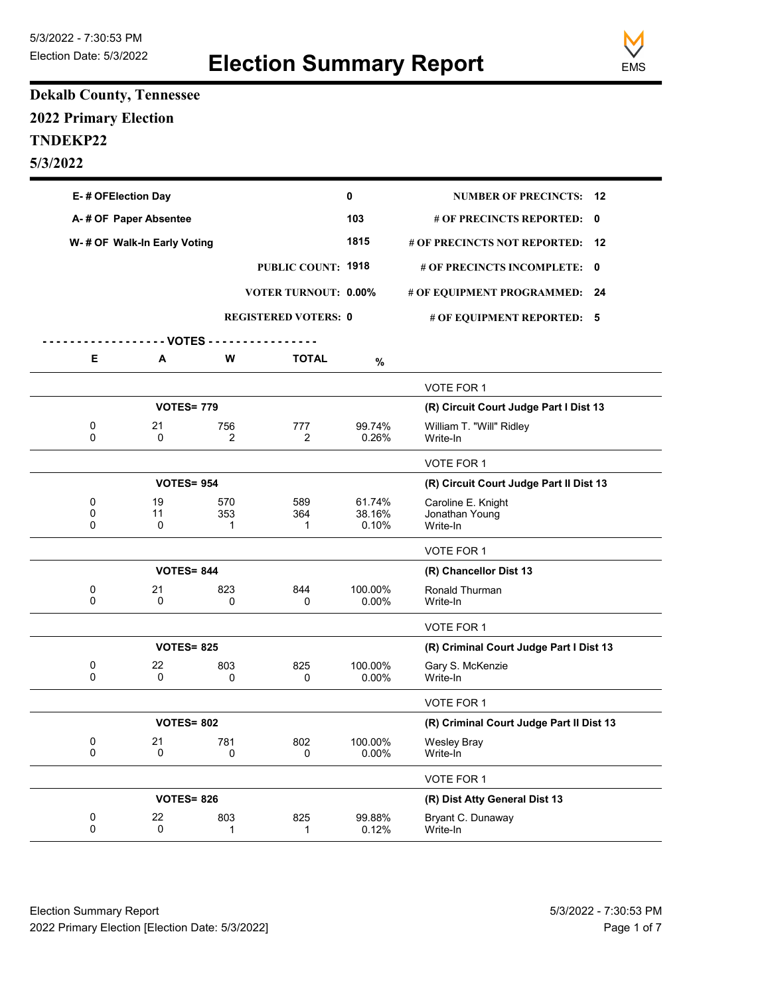

## **Dekalb County, Tennessee 2022 Primary Election TNDEKP22 5/3/2022**

| E-# OFElection Day    |                              |                   |                             | 0                         | <b>NUMBER OF PRECINCTS:</b>                      | - 12 |
|-----------------------|------------------------------|-------------------|-----------------------------|---------------------------|--------------------------------------------------|------|
| A-# OF Paper Absentee |                              |                   | 103                         | # OF PRECINCTS REPORTED:  | $\mathbf{0}$                                     |      |
|                       | W- # OF Walk-In Early Voting |                   |                             | 1815                      | # OF PRECINCTS NOT REPORTED:                     | 12   |
|                       |                              |                   | PUBLIC COUNT: 1918          |                           | # OF PRECINCTS INCOMPLETE: 0                     |      |
|                       |                              |                   | <b>VOTER TURNOUT: 0.00%</b> |                           | # OF EQUIPMENT PROGRAMMED:                       | - 24 |
|                       |                              |                   | <b>REGISTERED VOTERS: 0</b> |                           | # OF EQUIPMENT REPORTED: 5                       |      |
|                       |                              | - - VOTES - - - - |                             |                           |                                                  |      |
| Е                     | A                            | W                 | <b>TOTAL</b>                | %                         |                                                  |      |
|                       |                              |                   |                             |                           | VOTE FOR 1                                       |      |
|                       | <b>VOTES= 779</b>            |                   |                             |                           | (R) Circuit Court Judge Part I Dist 13           |      |
| 0<br>0                | 21<br>0                      | 756<br>2          | 777<br>2                    | 99.74%<br>0.26%           | William T. "Will" Ridley<br>Write-In             |      |
|                       |                              |                   |                             |                           | VOTE FOR 1                                       |      |
|                       | <b>VOTES= 954</b>            |                   |                             |                           | (R) Circuit Court Judge Part II Dist 13          |      |
| 0<br>0<br>0           | 19<br>11<br>0                | 570<br>353<br>1   | 589<br>364<br>1             | 61.74%<br>38.16%<br>0.10% | Caroline E. Knight<br>Jonathan Young<br>Write-In |      |
|                       |                              |                   |                             |                           | VOTE FOR 1                                       |      |
|                       | <b>VOTES= 844</b>            |                   |                             |                           | (R) Chancellor Dist 13                           |      |
| 0<br>$\Omega$         | 21<br>0                      | 823<br>0          | 844<br>0                    | 100.00%<br>0.00%          | Ronald Thurman<br>Write-In                       |      |
|                       |                              |                   |                             |                           | VOTE FOR 1                                       |      |
|                       | <b>VOTES= 825</b>            |                   |                             |                           | (R) Criminal Court Judge Part I Dist 13          |      |
| 0<br>0                | 22<br>0                      | 803<br>0          | 825<br>0                    | 100.00%<br>$0.00\%$       | Gary S. McKenzie<br>Write-In                     |      |
|                       |                              |                   |                             |                           | VOTE FOR 1                                       |      |
|                       | <b>VOTES= 802</b>            |                   |                             |                           | (R) Criminal Court Judge Part II Dist 13         |      |
| 0<br>0                | 21<br>0                      | 781<br>0          | 802<br>0                    | 100.00%<br>0.00%          | <b>Wesley Bray</b><br>Write-In                   |      |
|                       |                              |                   |                             |                           | VOTE FOR 1                                       |      |
|                       | <b>VOTES= 826</b>            |                   |                             |                           | (R) Dist Atty General Dist 13                    |      |
| 0<br>0                | 22<br>0                      | 803<br>1          | 825<br>1                    | 99.88%<br>0.12%           | Bryant C. Dunaway<br>Write-In                    |      |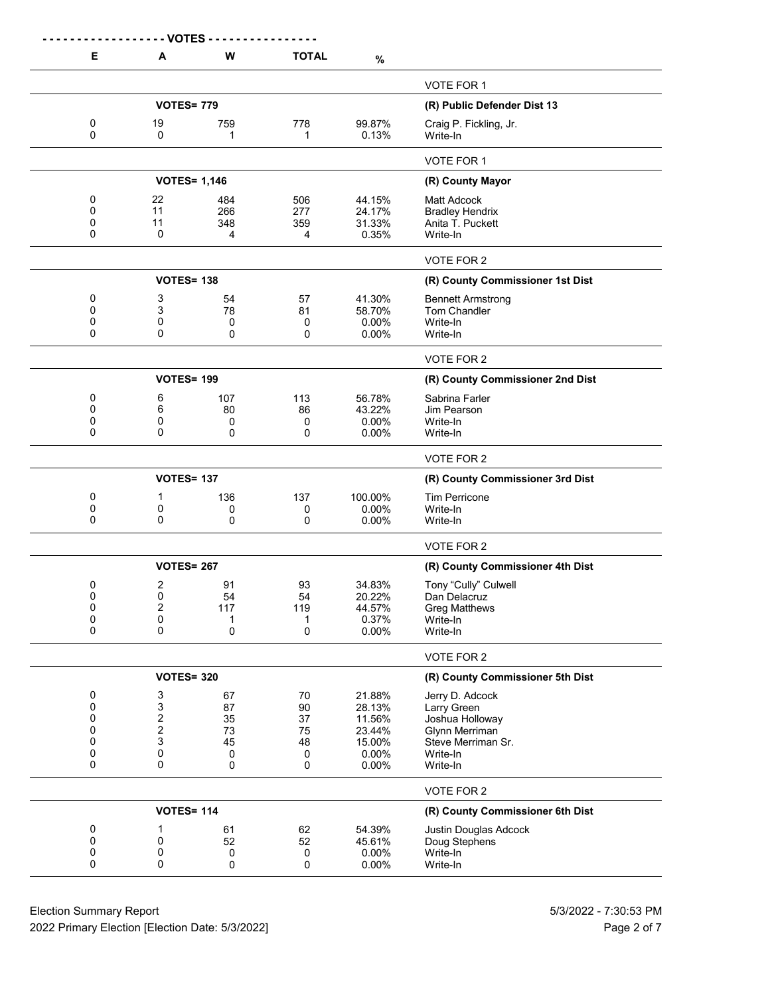|                                 | - VOTES                              |                                      |                                      |                                                                  |                                                                                                                   |
|---------------------------------|--------------------------------------|--------------------------------------|--------------------------------------|------------------------------------------------------------------|-------------------------------------------------------------------------------------------------------------------|
| Е                               | A                                    | W                                    | <b>TOTAL</b>                         | $\%$                                                             |                                                                                                                   |
|                                 |                                      |                                      |                                      |                                                                  | VOTE FOR 1                                                                                                        |
|                                 | <b>VOTES= 779</b>                    |                                      |                                      |                                                                  | (R) Public Defender Dist 13                                                                                       |
| 0<br>0                          | 19<br>0                              | 759<br>1                             | 778<br>1                             | 99.87%<br>0.13%                                                  | Craig P. Fickling, Jr.<br>Write-In                                                                                |
|                                 |                                      |                                      |                                      |                                                                  | <b>VOTE FOR 1</b>                                                                                                 |
|                                 | <b>VOTES= 1,146</b>                  |                                      |                                      |                                                                  | (R) County Mayor                                                                                                  |
| 0<br>0<br>0<br>0                | 22<br>11<br>11<br>0                  | 484<br>266<br>348<br>4               | 506<br>277<br>359<br>4               | 44.15%<br>24.17%<br>31.33%<br>0.35%                              | Matt Adcock<br><b>Bradley Hendrix</b><br>Anita T. Puckett<br>Write-In                                             |
|                                 |                                      |                                      |                                      |                                                                  | VOTE FOR 2                                                                                                        |
|                                 | <b>VOTES= 138</b>                    |                                      |                                      |                                                                  | (R) County Commissioner 1st Dist                                                                                  |
| 0<br>0<br>0<br>0                | 3<br>3<br>0<br>0                     | 54<br>78<br>0<br>0                   | 57<br>81<br>0<br>0                   | 41.30%<br>58.70%<br>$0.00\%$<br>$0.00\%$                         | <b>Bennett Armstrong</b><br>Tom Chandler<br>Write-In<br>Write-In                                                  |
|                                 |                                      |                                      |                                      |                                                                  | VOTE FOR 2                                                                                                        |
|                                 | <b>VOTES= 199</b>                    |                                      |                                      |                                                                  | (R) County Commissioner 2nd Dist                                                                                  |
| 0<br>0<br>0<br>0                | 6<br>6<br>0<br>0                     | 107<br>80<br>0<br>0                  | 113<br>86<br>0<br>0                  | 56.78%<br>43.22%<br>0.00%<br>0.00%                               | Sabrina Farler<br>Jim Pearson<br>Write-In<br>Write-In                                                             |
|                                 |                                      |                                      |                                      |                                                                  | VOTE FOR 2                                                                                                        |
|                                 | <b>VOTES= 137</b>                    |                                      |                                      |                                                                  | (R) County Commissioner 3rd Dist                                                                                  |
| 0<br>0<br>0                     | 1<br>0<br>0                          | 136<br>0<br>0                        | 137<br>0<br>0                        | 100.00%<br>0.00%<br>0.00%                                        | <b>Tim Perricone</b><br>Write-In<br>Write-In                                                                      |
|                                 |                                      |                                      |                                      |                                                                  | VOTE FOR 2                                                                                                        |
|                                 | <b>VOTES= 267</b>                    |                                      |                                      |                                                                  | (R) County Commissioner 4th Dist                                                                                  |
| 0<br>0<br>0<br>0<br>0           | 2<br>0<br>$\boldsymbol{2}$<br>0<br>0 | 91<br>54<br>117<br>1<br>0            | 93<br>54<br>119<br>1<br>0            | 34.83%<br>20.22%<br>44.57%<br>0.37%<br>0.00%                     | Tony "Cully" Culwell<br>Dan Delacruz<br><b>Greg Matthews</b><br>Write-In<br>Write-In                              |
|                                 |                                      |                                      |                                      |                                                                  | VOTE FOR 2                                                                                                        |
|                                 | <b>VOTES= 320</b>                    |                                      |                                      |                                                                  | (R) County Commissioner 5th Dist                                                                                  |
| 0<br>0<br>0<br>0<br>0<br>0<br>0 | 3<br>3<br>2<br>2<br>3<br>0<br>0      | 67<br>87<br>35<br>73<br>45<br>0<br>0 | 70<br>90<br>37<br>75<br>48<br>0<br>0 | 21.88%<br>28.13%<br>11.56%<br>23.44%<br>15.00%<br>0.00%<br>0.00% | Jerry D. Adcock<br>Larry Green<br>Joshua Holloway<br>Glynn Merriman<br>Steve Merriman Sr.<br>Write-In<br>Write-In |
|                                 |                                      |                                      |                                      |                                                                  | VOTE FOR 2                                                                                                        |
|                                 | <b>VOTES= 114</b>                    |                                      | (R) County Commissioner 6th Dist     |                                                                  |                                                                                                                   |
| 0<br>0<br>0<br>0                | 1<br>0<br>0<br>0                     | 61<br>52<br>0<br>0                   | 62<br>52<br>0<br>0                   | 54.39%<br>45.61%<br>0.00%<br>0.00%                               | Justin Douglas Adcock<br>Doug Stephens<br>Write-In<br>Write-In                                                    |

Election Summary Report 613/2022 - 7:30:53 PM 2022 Primary Election [Election Date: 5/3/2022] **Page 2 of 7** and 2022 Primary Election Date: 5/3/2022]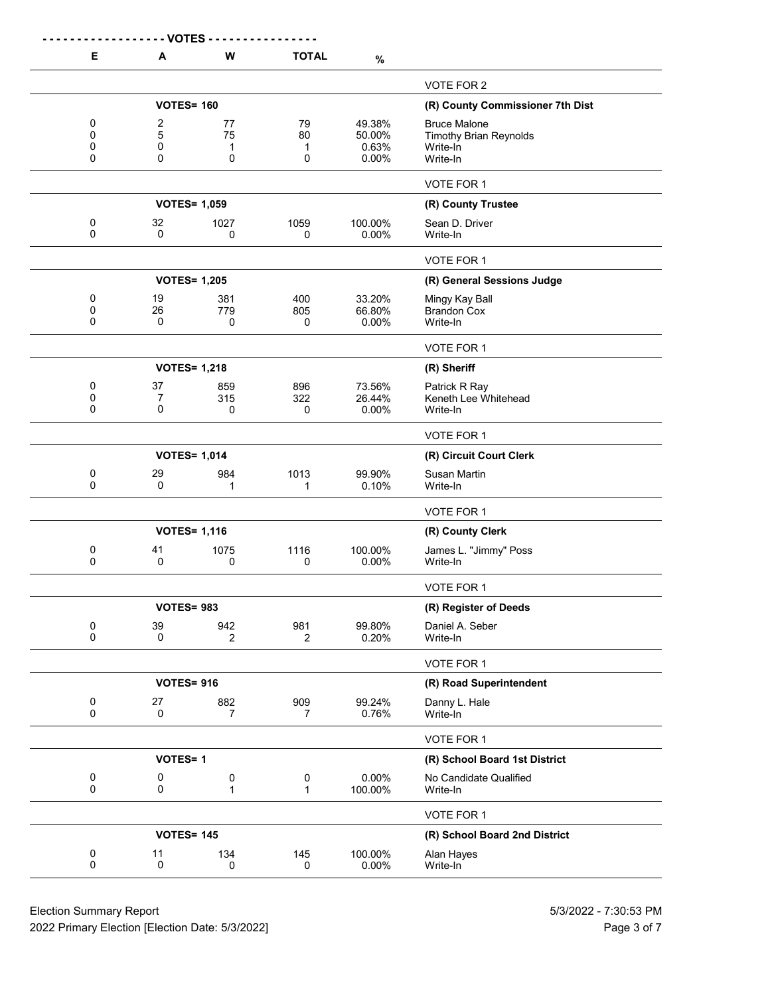|                  | - VOTES -         |                       |                       |                                    |                                                                              |
|------------------|-------------------|-----------------------|-----------------------|------------------------------------|------------------------------------------------------------------------------|
| Е                | A                 | W                     | <b>TOTAL</b>          | $\%$                               |                                                                              |
|                  |                   |                       |                       |                                    | VOTE FOR 2                                                                   |
|                  | <b>VOTES= 160</b> |                       |                       |                                    | (R) County Commissioner 7th Dist                                             |
| 0<br>0<br>0<br>0 | 2<br>5<br>0<br>0  | 77<br>75<br>1<br>0    | 79<br>80<br>1<br>0    | 49.38%<br>50.00%<br>0.63%<br>0.00% | <b>Bruce Malone</b><br><b>Timothy Brian Reynolds</b><br>Write-In<br>Write-In |
|                  |                   |                       |                       |                                    | VOTE FOR 1                                                                   |
|                  |                   | <b>VOTES= 1,059</b>   |                       |                                    | (R) County Trustee                                                           |
| 0<br>0           | 32<br>0           | 1027<br>0             | 1059<br>0             | 100.00%<br>0.00%                   | Sean D. Driver<br>Write-In                                                   |
|                  |                   |                       |                       |                                    | VOTE FOR 1                                                                   |
|                  |                   | <b>VOTES= 1,205</b>   |                       |                                    | (R) General Sessions Judge                                                   |
| 0<br>0<br>0      | 19<br>26<br>0     | 381<br>779<br>0       | 400<br>805<br>0       | 33.20%<br>66.80%<br>0.00%          | Mingy Kay Ball<br><b>Brandon Cox</b><br>Write-In                             |
|                  |                   |                       |                       |                                    | VOTE FOR 1                                                                   |
|                  |                   | <b>VOTES= 1,218</b>   |                       |                                    | (R) Sheriff                                                                  |
| 0<br>0<br>0      | 37<br>7<br>0      | 859<br>315<br>0       | 896<br>322<br>0       | 73.56%<br>26.44%<br>0.00%          | Patrick R Ray<br>Keneth Lee Whitehead<br>Write-In                            |
|                  |                   |                       |                       |                                    | VOTE FOR 1                                                                   |
|                  |                   | <b>VOTES= 1,014</b>   |                       |                                    | (R) Circuit Court Clerk                                                      |
| 0<br>0           | 29<br>0           | 984<br>1              | 1013<br>1             | 99.90%<br>0.10%                    | <b>Susan Martin</b><br>Write-In                                              |
|                  |                   |                       |                       |                                    | VOTE FOR 1                                                                   |
|                  |                   | <b>VOTES= 1,116</b>   |                       |                                    | (R) County Clerk                                                             |
| 0<br>0           | 41<br>0           | 1075<br>0             | 1116<br>0             | 100.00%<br>$0.00\%$                | James L. "Jimmy" Poss<br>Write-In                                            |
|                  |                   |                       |                       |                                    | VOTE FOR 1                                                                   |
|                  | <b>VOTES= 983</b> |                       |                       |                                    | (R) Register of Deeds                                                        |
| 0<br>$\Omega$    | 39<br>0           | 942<br>$\overline{2}$ | 981<br>$\overline{2}$ | 99.80%<br>0.20%                    | Daniel A. Seber<br>Write-In                                                  |
|                  |                   |                       |                       |                                    | VOTE FOR 1                                                                   |
|                  | <b>VOTES= 916</b> |                       |                       |                                    | (R) Road Superintendent                                                      |
| 0<br>0           | 27<br>0           | 882<br>$\overline{7}$ | 909<br>$\overline{7}$ | 99.24%<br>0.76%                    | Danny L. Hale<br>Write-In                                                    |
|                  |                   |                       |                       |                                    | VOTE FOR 1                                                                   |
| <b>VOTES=1</b>   |                   |                       |                       |                                    | (R) School Board 1st District                                                |
| 0<br>0           | 0<br>0            | 0<br>1                | 0<br>$\mathbf{1}$     | 0.00%<br>100.00%                   | No Candidate Qualified<br>Write-In                                           |
|                  |                   |                       |                       |                                    | VOTE FOR 1                                                                   |
|                  | <b>VOTES= 145</b> |                       |                       |                                    | (R) School Board 2nd District                                                |
| 0<br>0           | 11<br>0           | 134<br>0              | 145<br>0              | 100.00%<br>0.00%                   | Alan Hayes<br>Write-In                                                       |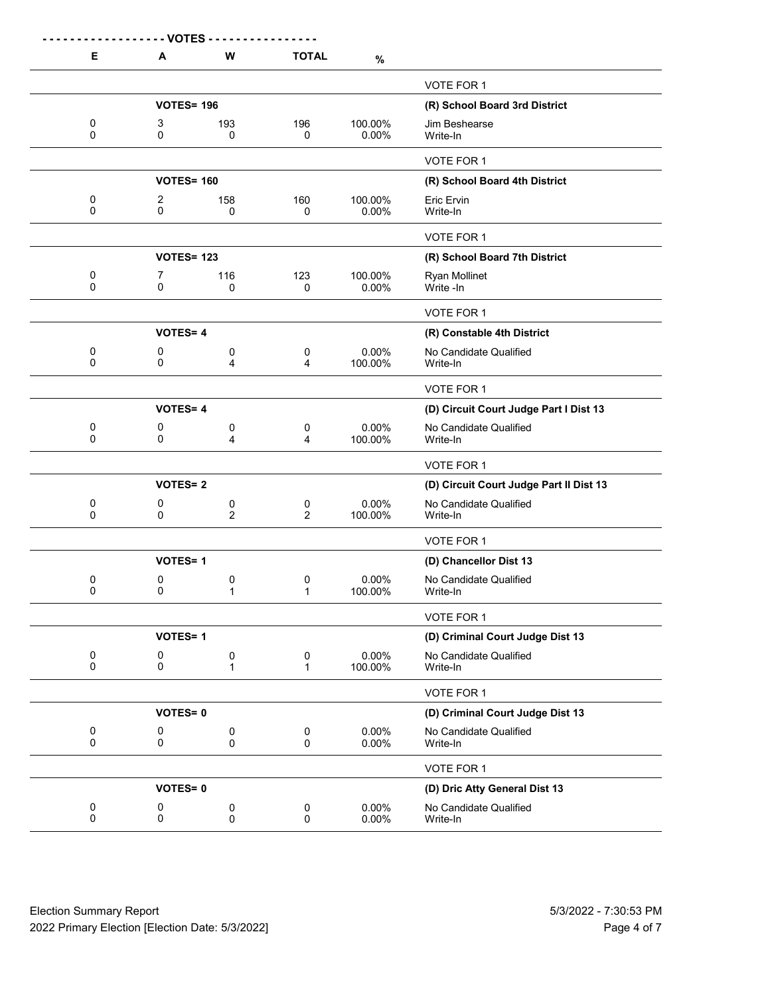| E                        | <b>VOTES</b><br>A | W                        | <b>TOTAL</b>      | $\%$             |                                         |
|--------------------------|-------------------|--------------------------|-------------------|------------------|-----------------------------------------|
|                          |                   |                          |                   |                  | VOTE FOR 1                              |
|                          | <b>VOTES= 196</b> |                          |                   |                  | (R) School Board 3rd District           |
| 0<br>0                   | 3<br>0            | 193<br>0                 | 196<br>0          | 100.00%<br>0.00% | Jim Beshearse<br>Write-In               |
|                          |                   |                          |                   |                  | VOTE FOR 1                              |
|                          | <b>VOTES= 160</b> |                          |                   |                  | (R) School Board 4th District           |
| 0<br>0                   | 2<br>0            | 158<br>0                 | 160<br>0          | 100.00%<br>0.00% | Eric Ervin<br>Write-In                  |
|                          |                   |                          |                   |                  | VOTE FOR 1                              |
|                          | <b>VOTES= 123</b> |                          |                   |                  | (R) School Board 7th District           |
| 0<br>0                   | 7<br>0            | 116<br>0                 | 123<br>0          | 100.00%<br>0.00% | <b>Ryan Mollinet</b><br>Write -In       |
|                          |                   |                          |                   |                  | VOTE FOR 1                              |
|                          | <b>VOTES=4</b>    |                          |                   |                  | (R) Constable 4th District              |
| 0<br>0                   | 0<br>0            | 0<br>4                   | 0<br>4            | 0.00%<br>100.00% | No Candidate Qualified<br>Write-In      |
|                          |                   |                          |                   |                  | VOTE FOR 1                              |
|                          | <b>VOTES=4</b>    |                          |                   |                  | (D) Circuit Court Judge Part I Dist 13  |
| 0<br>0                   | 0<br>0            | 0<br>4                   | 0<br>4            | 0.00%<br>100.00% | No Candidate Qualified<br>Write-In      |
|                          |                   |                          |                   |                  | VOTE FOR 1                              |
|                          | <b>VOTES=2</b>    |                          |                   |                  | (D) Circuit Court Judge Part II Dist 13 |
| 0<br>$\mathbf 0$         | 0<br>0            | 0<br>2                   | 0<br>2            | 0.00%<br>100.00% | No Candidate Qualified<br>Write-In      |
|                          |                   |                          |                   |                  | VOTE FOR 1                              |
|                          | <b>VOTES=1</b>    |                          |                   |                  | (D) Chancellor Dist 13                  |
| 0<br>0                   | 0<br>0            | 0<br>1                   | 0<br>1            | 0.00%<br>100.00% | No Candidate Qualified<br>Write-In      |
|                          |                   |                          |                   |                  | VOTE FOR 1                              |
|                          | <b>VOTES=1</b>    |                          |                   |                  | (D) Criminal Court Judge Dist 13        |
| $\pmb{0}$<br>$\mathbf 0$ | 0<br>$\mathsf 0$  | 0<br>$\mathbf{1}$        | 0<br>$\mathbf{1}$ | 0.00%<br>100.00% | No Candidate Qualified<br>Write-In      |
|                          |                   |                          |                   |                  | VOTE FOR 1                              |
|                          | <b>VOTES=0</b>    |                          |                   |                  | (D) Criminal Court Judge Dist 13        |
| 0<br>$\mathbf 0$         | 0<br>$\mathbf 0$  | $\pmb{0}$<br>$\mathbf 0$ | 0<br>$\Omega$     | 0.00%<br>0.00%   | No Candidate Qualified<br>Write-In      |
|                          |                   |                          |                   |                  | VOTE FOR 1                              |
|                          | <b>VOTES=0</b>    |                          |                   |                  | (D) Dric Atty General Dist 13           |
| 0<br>$\mathbf 0$         | 0<br>0            | $\pmb{0}$<br>$\pmb{0}$   | 0<br>0            | 0.00%<br>0.00%   | No Candidate Qualified<br>Write-In      |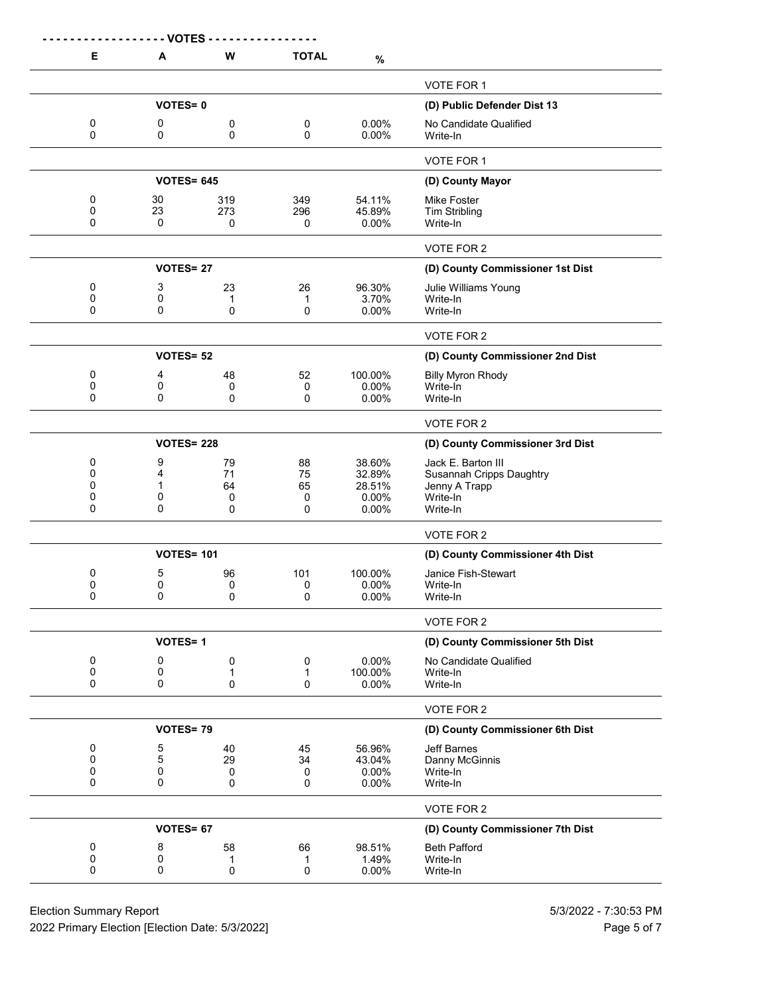|             | - - - - - - - - VOTES - |                   |                                  |                   |                                      |
|-------------|-------------------------|-------------------|----------------------------------|-------------------|--------------------------------------|
| Е           | A                       | W                 | <b>TOTAL</b>                     | $\%$              |                                      |
|             |                         |                   |                                  |                   | VOTE FOR 1                           |
|             | <b>VOTES=0</b>          |                   |                                  |                   | (D) Public Defender Dist 13          |
| 0<br>0      | 0<br>0                  | 0<br>0            | 0<br>0                           | 0.00%<br>0.00%    | No Candidate Qualified<br>Write-In   |
|             |                         |                   |                                  |                   | VOTE FOR 1                           |
|             | <b>VOTES= 645</b>       |                   |                                  |                   | (D) County Mayor                     |
| 0           | 30                      | 319               | 349                              | 54.11%            | Mike Foster                          |
| 0<br>0      | 23                      | 273               | 296                              | 45.89%            | <b>Tim Stribling</b>                 |
|             | 0                       | 0                 | 0                                | 0.00%             | Write-In                             |
|             |                         |                   |                                  |                   | VOTE FOR 2                           |
|             | <b>VOTES=27</b>         |                   |                                  |                   | (D) County Commissioner 1st Dist     |
| 0           | 3                       | 23                | 26                               | 96.30%            | Julie Williams Young                 |
| 0<br>0      | 0<br>0                  | 1<br>0            | 1<br>0                           | 3.70%<br>$0.00\%$ | Write-In<br>Write-In                 |
|             |                         |                   |                                  |                   |                                      |
|             | <b>VOTES= 52</b>        |                   |                                  |                   | VOTE FOR 2                           |
|             |                         |                   |                                  |                   | (D) County Commissioner 2nd Dist     |
| 0<br>0      | 4<br>0                  | 48<br>0           | 52<br>0                          | 100.00%<br>0.00%  | <b>Billy Myron Rhody</b><br>Write-In |
| 0           | 0                       | 0                 | $\mathbf 0$                      | 0.00%             | Write-In                             |
|             |                         |                   |                                  |                   | VOTE FOR 2                           |
|             | <b>VOTES= 228</b>       |                   | (D) County Commissioner 3rd Dist |                   |                                      |
| 0           | 9                       | 79                | 88                               | 38.60%            | Jack E. Barton III                   |
| 0<br>0      | 4<br>1                  | 71<br>64          | 75<br>65                         | 32.89%<br>28.51%  | <b>Susannah Cripps Daughtry</b>      |
| 0           | 0                       | 0                 | 0                                | 0.00%             | Jenny A Trapp<br>Write-In            |
| 0           | 0                       | 0                 | $\Omega$                         | 0.00%             | Write-In                             |
|             |                         |                   |                                  |                   | VOTE FOR 2                           |
|             | <b>VOTES= 101</b>       |                   |                                  |                   | (D) County Commissioner 4th Dist     |
| 0           | 5                       | 96                | 101                              | 100.00%           | Janice Fish-Stewart                  |
| 0<br>0      | 0<br>0                  | 0<br>0            | 0<br>0                           | 0.00%<br>0.00%    | Write-In<br>Write-In                 |
|             |                         |                   |                                  |                   |                                      |
|             |                         |                   |                                  |                   | VOTE FOR 2                           |
|             | <b>VOTES=1</b>          |                   |                                  |                   | (D) County Commissioner 5th Dist     |
| 0<br>0      | 0<br>0                  | 0<br>$\mathbf{1}$ | 0<br>1                           | 0.00%<br>100.00%  | No Candidate Qualified<br>Write-In   |
| 0           | 0                       | 0                 | 0                                | 0.00%             | Write-In                             |
|             |                         |                   |                                  |                   | VOTE FOR 2                           |
| VOTES=79    |                         |                   |                                  |                   | (D) County Commissioner 6th Dist     |
| 0           | 5                       | 40                | 45                               | 56.96%            | <b>Jeff Barnes</b>                   |
| $\mathbf 0$ | 5                       | 29                | 34                               | 43.04%            | Danny McGinnis                       |
| 0<br>0      | 0<br>0                  | 0<br>0            | 0<br>0                           | 0.00%<br>0.00%    | Write-In<br>Write-In                 |
|             |                         |                   |                                  |                   | VOTE FOR 2                           |
|             | VOTES= 67               |                   |                                  |                   | (D) County Commissioner 7th Dist     |
|             | 8                       |                   |                                  | 98.51%            |                                      |
| 0<br>0      | 0                       | 58<br>1           | 66<br>1                          | 1.49%             | <b>Beth Pafford</b><br>Write-In      |
| 0           | $\mathbf 0$             | 0                 | 0                                | 0.00%             | Write-In                             |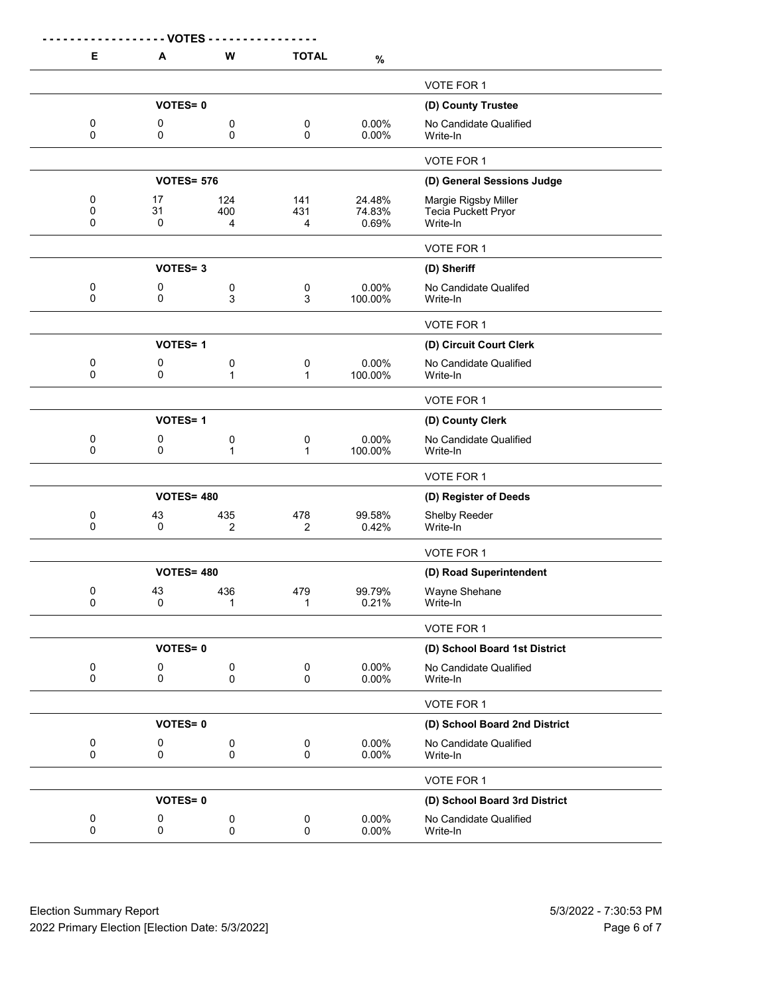| Е                        | <b>VOTES</b><br>A | W                 | <b>TOTAL</b>             |                           |                                                         |
|--------------------------|-------------------|-------------------|--------------------------|---------------------------|---------------------------------------------------------|
|                          |                   |                   |                          | $\%$                      |                                                         |
|                          |                   |                   |                          |                           | VOTE FOR 1                                              |
|                          | <b>VOTES=0</b>    |                   |                          |                           | (D) County Trustee                                      |
| 0<br>$\Omega$            | 0<br>0            | 0<br>0            | 0<br>0                   | 0.00%<br>0.00%            | No Candidate Qualified<br>Write-In                      |
|                          |                   |                   |                          |                           | <b>VOTE FOR 1</b>                                       |
|                          | <b>VOTES= 576</b> |                   |                          |                           | (D) General Sessions Judge                              |
| 0<br>0<br>0              | 17<br>31<br>0     | 124<br>400<br>4   | 141<br>431<br>4          | 24.48%<br>74.83%<br>0.69% | Margie Rigsby Miller<br>Tecia Puckett Pryor<br>Write-In |
|                          |                   |                   |                          |                           | VOTE FOR 1                                              |
|                          | <b>VOTES=3</b>    |                   |                          |                           | (D) Sheriff                                             |
| 0<br>0                   | 0<br>0            | 0<br>3            | 0<br>3                   | 0.00%<br>100.00%          | No Candidate Qualifed<br>Write-In                       |
|                          |                   |                   |                          |                           | VOTE FOR 1                                              |
|                          | <b>VOTES=1</b>    |                   |                          |                           | (D) Circuit Court Clerk                                 |
| 0<br>$\Omega$            | 0<br>0            | 0<br>$\mathbf{1}$ | 0<br>1                   | 0.00%<br>100.00%          | No Candidate Qualified<br>Write-In                      |
|                          |                   |                   |                          |                           | VOTE FOR 1                                              |
|                          | <b>VOTES=1</b>    |                   |                          |                           | (D) County Clerk                                        |
| 0<br>0                   | 0<br>0            | 0<br>1            | 0<br>1                   | 0.00%<br>100.00%          | No Candidate Qualified<br>Write-In                      |
|                          |                   |                   |                          |                           | VOTE FOR 1                                              |
|                          | <b>VOTES= 480</b> |                   |                          |                           | (D) Register of Deeds                                   |
| 0<br>0                   | 43<br>0           | 435<br>2          | 478<br>2                 | 99.58%<br>0.42%           | Shelby Reeder<br>Write-In                               |
|                          |                   |                   |                          |                           | VOTE FOR 1                                              |
|                          | <b>VOTES= 480</b> |                   |                          |                           | (D) Road Superintendent                                 |
| 0<br>0                   | 43<br>0           | 436<br>1          | 479<br>$\mathbf{1}$      | 99.79%<br>0.21%           | Wayne Shehane<br>Write-In                               |
|                          |                   |                   |                          |                           | VOTE FOR 1                                              |
|                          | <b>VOTES=0</b>    |                   |                          |                           | (D) School Board 1st District                           |
| $\pmb{0}$<br>0           | 0<br>0            | $\pmb{0}$<br>0    | $\pmb{0}$<br>$\mathbf 0$ | 0.00%<br>0.00%            | No Candidate Qualified<br>Write-In                      |
|                          |                   |                   |                          |                           | VOTE FOR 1                                              |
|                          | <b>VOTES=0</b>    |                   |                          |                           | (D) School Board 2nd District                           |
| $\pmb{0}$<br>$\mathsf 0$ | 0<br>$\mathbf 0$  | 0<br>0            | 0<br>0                   | 0.00%<br>0.00%            | No Candidate Qualified<br>Write-In                      |
|                          |                   |                   |                          |                           | VOTE FOR 1                                              |
|                          | <b>VOTES=0</b>    |                   |                          |                           | (D) School Board 3rd District                           |
| 0<br>$\mathbf 0$         | 0<br>0            | 0<br>0            | 0<br>0                   | 0.00%<br>0.00%            | No Candidate Qualified<br>Write-In                      |